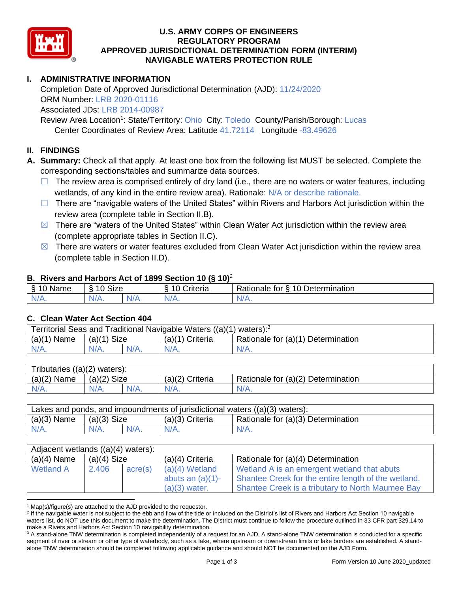

### **U.S. ARMY CORPS OF ENGINEERS REGULATORY PROGRAM APPROVED JURISDICTIONAL DETERMINATION FORM (INTERIM) NAVIGABLE WATERS PROTECTION RULE**

## **I. ADMINISTRATIVE INFORMATION**

Completion Date of Approved Jurisdictional Determination (AJD): 11/24/2020 ORM Number: LRB 2020-01116 Associated JDs: LRB 2014-00987

Review Area Location<sup>1</sup>: State/Territory: Ohio City: Toledo County/Parish/Borough: Lucas Center Coordinates of Review Area: Latitude 41.72114 Longitude -83.49626

#### **II. FINDINGS**

**A. Summary:** Check all that apply. At least one box from the following list MUST be selected. Complete the corresponding sections/tables and summarize data sources.

- $\Box$  The review area is comprised entirely of dry land (i.e., there are no waters or water features, including wetlands, of any kind in the entire review area). Rationale: N/A or describe rationale.
- $\Box$  There are "navigable waters of the United States" within Rivers and Harbors Act jurisdiction within the review area (complete table in Section II.B).
- $\boxtimes$  There are "waters of the United States" within Clean Water Act jurisdiction within the review area (complete appropriate tables in Section II.C).
- $\boxtimes$  There are waters or water features excluded from Clean Water Act jurisdiction within the review area (complete table in Section II.D).

#### **B. Rivers and Harbors Act of 1899 Section 10 (§ 10)**<sup>2</sup>

| $\cdot$          |                      |   |                                  |                                                      |  |  |
|------------------|----------------------|---|----------------------------------|------------------------------------------------------|--|--|
| S<br>$-$<br>Name | $\sim$<br>10<br>SIZE |   | .<br>۱O<br>-<br><i>∶</i> riteria | Determination<br>$\sqrt{ }$<br>-<br>tor<br>Rationale |  |  |
| $N/A$ .          | N/A.                 | . | N7<br>$\mathbf{v}$               | N/A.                                                 |  |  |

#### **C. Clean Water Act Section 404**

| Territorial Seas and Traditional Navigable Waters $((a)(1)$ waters): <sup>3</sup> |                       |  |                   |                                    |  |
|-----------------------------------------------------------------------------------|-----------------------|--|-------------------|------------------------------------|--|
| (a)(1)<br>Name                                                                    | <b>Size</b><br>(a)(1) |  | $(a)(1)$ Criteria | Rationale for (a)(1) Determination |  |
| IV/A.                                                                             | $N/A$ .               |  | N/A.              | $N/A$ .                            |  |

| Tributaries $((a)(2)$ waters): |                |  |                   |                                    |  |  |
|--------------------------------|----------------|--|-------------------|------------------------------------|--|--|
| $(a)(2)$ Name                  | (a)(2)<br>Size |  | $(a)(2)$ Criteria | Rationale for (a)(2) Determination |  |  |
| $N/A$ .                        | $N/A$ .        |  | $N/A$ .           | N/A.                               |  |  |

| Lakes and ponds, and impoundments of jurisdictional waters $((a)(3)$ waters): |               |         |                   |                                    |  |
|-------------------------------------------------------------------------------|---------------|---------|-------------------|------------------------------------|--|
| $(a)(3)$ Name                                                                 | $(a)(3)$ Size |         | $(a)(3)$ Criteria | Rationale for (a)(3) Determination |  |
| $N/A$ .                                                                       | $N/A$ .       | $N/A$ . | $N/A$ .           | $N/A$ .                            |  |

| Adjacent wetlands ((a)(4) waters): |               |         |                     |                                                     |  |  |
|------------------------------------|---------------|---------|---------------------|-----------------------------------------------------|--|--|
| $(a)(4)$ Name                      | $(a)(4)$ Size |         | $(a)(4)$ Criteria   | Rationale for (a)(4) Determination                  |  |  |
| <b>Wetland A</b>                   | 2.406         | acre(s) | $(a)(4)$ Wetland    | Wetland A is an emergent wetland that abuts         |  |  |
|                                    |               |         | abuts an $(a)(1)$ - | Shantee Creek for the entire length of the wetland. |  |  |
|                                    |               |         | $(a)(3)$ water.     | Shantee Creek is a tributary to North Maumee Bay    |  |  |

 $1$  Map(s)/figure(s) are attached to the AJD provided to the requestor.

<sup>&</sup>lt;sup>2</sup> If the navigable water is not subject to the ebb and flow of the tide or included on the District's list of Rivers and Harbors Act Section 10 navigable waters list, do NOT use this document to make the determination. The District must continue to follow the procedure outlined in 33 CFR part 329.14 to make a Rivers and Harbors Act Section 10 navigability determination.

<sup>&</sup>lt;sup>3</sup> A stand-alone TNW determination is completed independently of a request for an AJD. A stand-alone TNW determination is conducted for a specific segment of river or stream or other type of waterbody, such as a lake, where upstream or downstream limits or lake borders are established. A standalone TNW determination should be completed following applicable guidance and should NOT be documented on the AJD Form.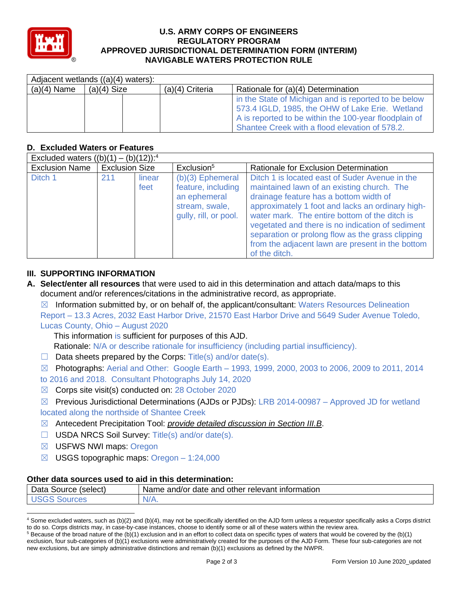

### **U.S. ARMY CORPS OF ENGINEERS REGULATORY PROGRAM APPROVED JURISDICTIONAL DETERMINATION FORM (INTERIM) NAVIGABLE WATERS PROTECTION RULE**

|               | Adjacent wetlands ((a)(4) waters): |  |                   |                                                       |  |  |
|---------------|------------------------------------|--|-------------------|-------------------------------------------------------|--|--|
| $(a)(4)$ Name | $(a)(4)$ Size                      |  | $(a)(4)$ Criteria | Rationale for (a)(4) Determination                    |  |  |
|               |                                    |  |                   | in the State of Michigan and is reported to be below  |  |  |
|               |                                    |  |                   | 573.4 IGLD, 1985, the OHW of Lake Erie. Wetland       |  |  |
|               |                                    |  |                   | A is reported to be within the 100-year floodplain of |  |  |
|               |                                    |  |                   | Shantee Creek with a flood elevation of 578.2.        |  |  |

# **D. Excluded Waters or Features**

| Excluded waters $((b)(1) - (b)(12))$ : <sup>4</sup> |                       |                |                                                                                                     |                                                                                                                                                                                                                                                                                                                                                                                                                          |  |
|-----------------------------------------------------|-----------------------|----------------|-----------------------------------------------------------------------------------------------------|--------------------------------------------------------------------------------------------------------------------------------------------------------------------------------------------------------------------------------------------------------------------------------------------------------------------------------------------------------------------------------------------------------------------------|--|
| <b>Exclusion Name</b>                               | <b>Exclusion Size</b> |                | Exclusion <sup>5</sup>                                                                              | Rationale for Exclusion Determination                                                                                                                                                                                                                                                                                                                                                                                    |  |
| Ditch 1                                             | 211                   | linear<br>feet | $(b)(3)$ Ephemeral<br>feature, including<br>an ephemeral<br>stream, swale,<br>gully, rill, or pool. | Ditch 1 is located east of Suder Avenue in the<br>maintained lawn of an existing church. The<br>drainage feature has a bottom width of<br>approximately 1 foot and lacks an ordinary high-<br>water mark. The entire bottom of the ditch is<br>vegetated and there is no indication of sediment<br>separation or prolong flow as the grass clipping<br>from the adjacent lawn are present in the bottom<br>of the ditch. |  |

## **III. SUPPORTING INFORMATION**

**A. Select/enter all resources** that were used to aid in this determination and attach data/maps to this document and/or references/citations in the administrative record, as appropriate.

 $\boxtimes$  Information submitted by, or on behalf of, the applicant/consultant: Waters Resources Delineation Report – 13.3 Acres, 2032 East Harbor Drive, 21570 East Harbor Drive and 5649 Suder Avenue Toledo, Lucas County, Ohio – August 2020

This information is sufficient for purposes of this AJD.

Rationale: N/A or describe rationale for insufficiency (including partial insufficiency).

 $\Box$  Data sheets prepared by the Corps: Title(s) and/or date(s).

 $\boxtimes$  Photographs: Aerial and Other: Google Earth – 1993, 1999, 2000, 2003 to 2006, 2009 to 2011, 2014 to 2016 and 2018. Consultant Photographs July 14, 2020

- ☒ Corps site visit(s) conducted on: 28 October 2020
- $\boxtimes$  Previous Jurisdictional Determinations (AJDs or PJDs): LRB 2014-00987 Approved JD for wetland located along the northside of Shantee Creek
- ☒ Antecedent Precipitation Tool: *provide detailed discussion in Section III.B*.
- ☐ USDA NRCS Soil Survey: Title(s) and/or date(s).
- ☒ USFWS NWI maps: Oregon
- $\boxtimes$  USGS topographic maps: Oregon 1:24,000

## **Other data sources used to aid in this determination:**

| -<br>. Source .<br>(select)<br>Data | other relevant<br>information<br>date<br>⊧and<br>and/or<br>Name |
|-------------------------------------|-----------------------------------------------------------------|
| ces                                 | N/A.                                                            |

<sup>4</sup> Some excluded waters, such as (b)(2) and (b)(4), may not be specifically identified on the AJD form unless a requestor specifically asks a Corps district to do so. Corps districts may, in case-by-case instances, choose to identify some or all of these waters within the review area.

 $5$  Because of the broad nature of the (b)(1) exclusion and in an effort to collect data on specific types of waters that would be covered by the (b)(1) exclusion, four sub-categories of (b)(1) exclusions were administratively created for the purposes of the AJD Form. These four sub-categories are not new exclusions, but are simply administrative distinctions and remain (b)(1) exclusions as defined by the NWPR.